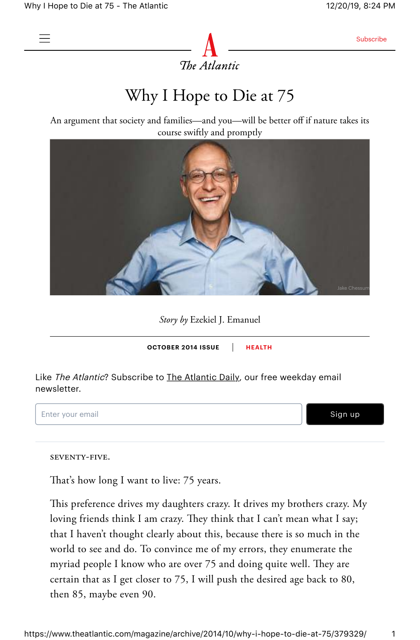



Subscribe

## Why I Hope to Die at 75

An argument that society and families—and you—will be better off if nature takes its course swiftly and promptly



*Story by* Ezekiel J. Emanuel

**OCTOBER 2014 ISSUE HEALTH**

Like The Atlantic? Subscribe to The Atlantic Daily, our free weekday email newsletter.

Enter your email **Sign up Sign up Sign up Sign up Sign up Sign up Sign up** 

seventy-five.

That's how long I want to live: 75 years.

This preference drives my daughters crazy. It drives my brothers crazy. My loving friends think I am crazy. They think that I can't mean what I say; that I haven't thought clearly about this, because there is so much in the world to see and do. To convince me of my errors, they enumerate the myriad people I know who are over 75 and doing quite well. They are certain that as I get closer to 75, I will push the desired age back to 80, then 85, maybe even 90.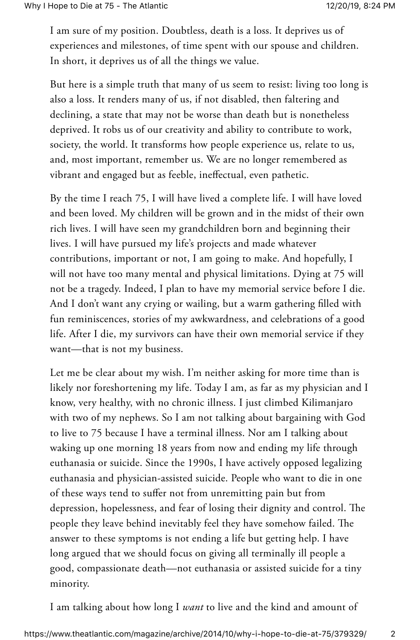I am sure of my position. Doubtless, death is a loss. It deprives us of experiences and milestones, of time spent with our spouse and children. In short, it deprives us of all the things we value.

But here is a simple truth that many of us seem to resist: living too long is also a loss. It renders many of us, if not disabled, then faltering and declining, a state that may not be worse than death but is nonetheless deprived. It robs us of our creativity and ability to contribute to work, society, the world. It transforms how people experience us, relate to us, and, most important, remember us. We are no longer remembered as vibrant and engaged but as feeble, ineffectual, even pathetic.

By the time I reach 75, I will have lived a complete life. I will have loved and been loved. My children will be grown and in the midst of their own rich lives. I will have seen my grandchildren born and beginning their lives. I will have pursued my life's projects and made whatever contributions, important or not, I am going to make. And hopefully, I will not have too many mental and physical limitations. Dying at 75 will not be a tragedy. Indeed, I plan to have my memorial service before I die. And I don't want any crying or wailing, but a warm gathering filled with fun reminiscences, stories of my awkwardness, and celebrations of a good life. After I die, my survivors can have their own memorial service if they want—that is not my business.

Let me be clear about my wish. I'm neither asking for more time than is likely nor foreshortening my life. Today I am, as far as my physician and I know, very healthy, with no chronic illness. I just climbed Kilimanjaro with two of my nephews. So I am not talking about bargaining with God to live to 75 because I have a terminal illness. Nor am I talking about waking up one morning 18 years from now and ending my life through euthanasia or suicide. Since the 1990s, I have actively opposed legalizing euthanasia and physician-assisted suicide. People who want to die in one of these ways tend to suffer not from unremitting pain but from depression, hopelessness, and fear of losing their dignity and control. The people they leave behind inevitably feel they have somehow failed. The answer to these symptoms is not ending a life but getting help. I have long argued that we should focus on giving all terminally ill people a good, compassionate death—not euthanasia or assisted suicide for a tiny minority.

I am talking about how long I *want* to live and the kind and amount of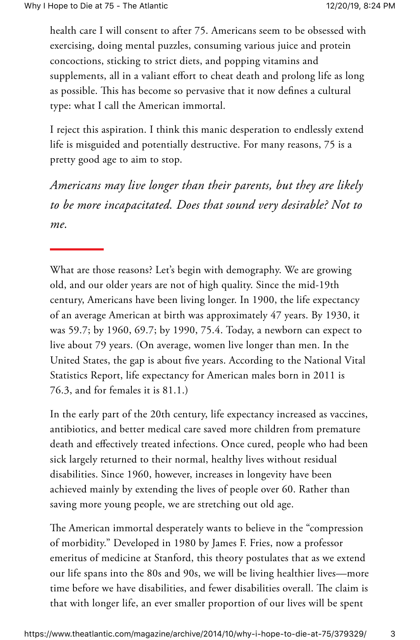health care I will consent to after 75. Americans seem to be obsessed with exercising, doing mental puzzles, consuming various juice and protein concoctions, sticking to strict diets, and popping vitamins and supplements, all in a valiant effort to cheat death and prolong life as long as possible. This has become so pervasive that it now defines a cultural type: what I call the American immortal.

I reject this aspiration. I think this manic desperation to endlessly extend life is misguided and potentially destructive. For many reasons, 75 is a pretty good age to aim to stop.

*Americans may live longer than their parents, but they are likely to be more incapacitated. Does that sound very desirable? Not to me.*

What are those reasons? Let's begin with demography. We are growing old, and our older years are not of high quality. Since the mid-19th century, Americans have been living longer. In 1900, the life expectancy of an average American at birth was approximately 47 years. By 1930, it was 59.7; by 1960, 69.7; by 1990, 75.4. Today, a newborn can expect to live about 79 years. (On average, women live longer than men. In the United States, the gap is about five years. According to the National Vital Statistics Report, life expectancy for American males born in 2011 is 76.3, and for females it is 81.1.)

In the early part of the 20th century, life expectancy increased as vaccines, antibiotics, and better medical care saved more children from premature death and effectively treated infections. Once cured, people who had been sick largely returned to their normal, healthy lives without residual disabilities. Since 1960, however, increases in longevity have been achieved mainly by extending the lives of people over 60. Rather than saving more young people, we are stretching out old age.

The American immortal desperately wants to believe in the "compression" of morbidity." Developed in 1980 by James F. Fries, now a professor emeritus of medicine at Stanford, this theory postulates that as we extend our life spans into the 80s and 90s, we will be living healthier lives—more time before we have disabilities, and fewer disabilities overall. The claim is that with longer life, an ever smaller proportion of our lives will be spent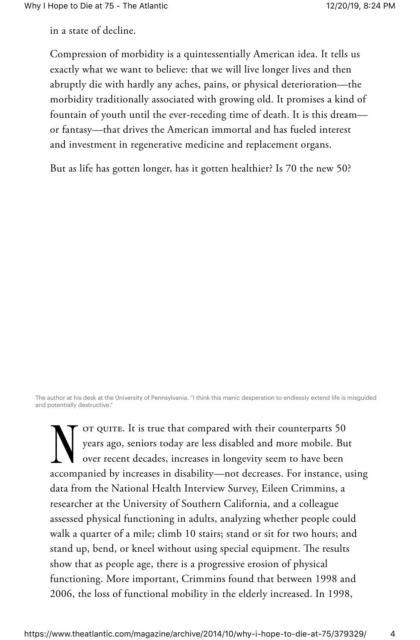in a state of decline.

Compression of morbidity is a quintessentially American idea. It tells us exactly what we want to believe: that we will live longer lives and then abruptly die with hardly any aches, pains, or physical deterioration—the morbidity traditionally associated with growing old. It promises a kind of fountain of youth until the ever-receding time of death. It is this dream or fantasy—that drives the American immortal and has fueled interest and investment in regenerative medicine and replacement organs.

But as life has gotten longer, has it gotten healthier? Is 70 the new 50?

The author at his desk at the University of Pennsylvania. "I think this manic desperation to endlessly extend life is misguided and potentially destructive."

N or QUITE. It is true that compared with their counterparts 50 years ago, seniors today are less disabled and more mobile. But over recent decades, increases in longevity seem to have been accompanied by increases in disability—not decreases. For instance, using data from the National Health Interview Survey, Eileen Crimmins, a researcher at the University of Southern California, and a colleague assessed physical functioning in adults, analyzing whether people could walk a quarter of a mile; climb 10 stairs; stand or sit for two hours; and stand up, bend, or kneel without using special equipment. The results show that as people age, there is a progressive erosion of physical functioning. More important, Crimmins found that between 1998 and 2006, the loss of functional mobility in the elderly increased. In 1998,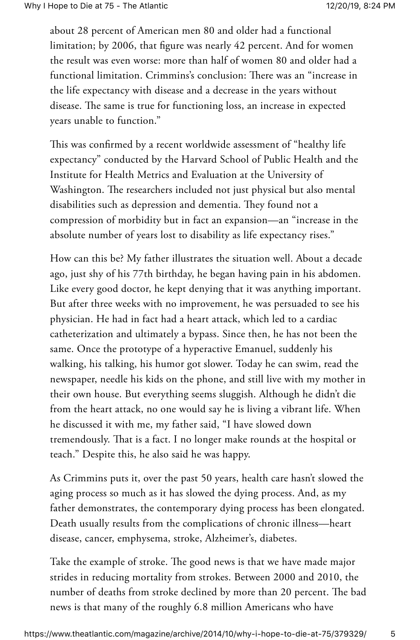about 28 percent of American men 80 and older had a functional limitation; by 2006, that figure was nearly 42 percent. And for women the result was even worse: more than half of women 80 and older had a functional limitation. Crimmins's conclusion: There was an "increase in the life expectancy with disease and a decrease in the years without disease. The same is true for functioning loss, an increase in expected years unable to function."

This was confirmed by a recent worldwide assessment of "healthy life" expectancy" conducted by the Harvard School of Public Health and the Institute for Health Metrics and Evaluation at the University of Washington. The researchers included not just physical but also mental disabilities such as depression and dementia. They found not a compression of morbidity but in fact an expansion—an "increase in the absolute number of years lost to disability as life expectancy rises."

How can this be? My father illustrates the situation well. About a decade ago, just shy of his 77th birthday, he began having pain in his abdomen. Like every good doctor, he kept denying that it was anything important. But after three weeks with no improvement, he was persuaded to see his physician. He had in fact had a heart attack, which led to a cardiac catheterization and ultimately a bypass. Since then, he has not been the same. Once the prototype of a hyperactive Emanuel, suddenly his walking, his talking, his humor got slower. Today he can swim, read the newspaper, needle his kids on the phone, and still live with my mother in their own house. But everything seems sluggish. Although he didn't die from the heart attack, no one would say he is living a vibrant life. When he discussed it with me, my father said, "I have slowed down tremendously. That is a fact. I no longer make rounds at the hospital or teach." Despite this, he also said he was happy.

As Crimmins puts it, over the past 50 years, health care hasn't slowed the aging process so much as it has slowed the dying process. And, as my father demonstrates, the contemporary dying process has been elongated. Death usually results from the complications of chronic illness—heart disease, cancer, emphysema, stroke, Alzheimer's, diabetes.

Take the example of stroke. The good news is that we have made major strides in reducing mortality from strokes. Between 2000 and 2010, the number of deaths from stroke declined by more than 20 percent. The bad news is that many of the roughly 6.8 million Americans who have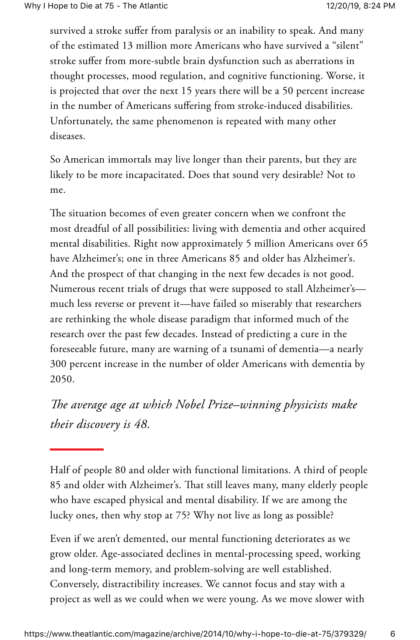survived a stroke suffer from paralysis or an inability to speak. And many of the estimated 13 million more Americans who have survived a "silent" stroke suffer from more-subtle brain dysfunction such as aberrations in thought processes, mood regulation, and cognitive functioning. Worse, it is projected that over the next 15 years there will be a 50 percent increase in the number of Americans suffering from stroke-induced disabilities. Unfortunately, the same phenomenon is repeated with many other diseases.

So American immortals may live longer than their parents, but they are likely to be more incapacitated. Does that sound very desirable? Not to me.

The situation becomes of even greater concern when we confront the most dreadful of all possibilities: living with dementia and other acquired mental disabilities. Right now approximately 5 million Americans over 65 have Alzheimer's; one in three Americans 85 and older has Alzheimer's. And the prospect of that changing in the next few decades is not good. Numerous recent trials of drugs that were supposed to stall Alzheimer's much less reverse or prevent it—have failed so miserably that researchers are rethinking the whole disease paradigm that informed much of the research over the past few decades. Instead of predicting a cure in the foreseeable future, many are warning of a tsunami of dementia—a nearly 300 percent increase in the number of older Americans with dementia by 2050.

*!e average age at which Nobel Prize–winning physicists make their discovery is 48.*

Half of people 80 and older with functional limitations. A third of people 85 and older with Alzheimer's. That still leaves many, many elderly people who have escaped physical and mental disability. If we are among the lucky ones, then why stop at 75? Why not live as long as possible?

Even if we aren't demented, our mental functioning deteriorates as we grow older. Age-associated declines in mental-processing speed, working and long-term memory, and problem-solving are well established. Conversely, distractibility increases. We cannot focus and stay with a project as well as we could when we were young. As we move slower with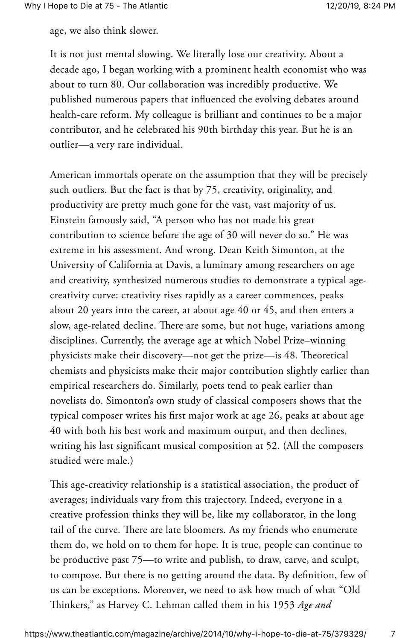age, we also think slower.

It is not just mental slowing. We literally lose our creativity. About a decade ago, I began working with a prominent health economist who was about to turn 80. Our collaboration was incredibly productive. We published numerous papers that influenced the evolving debates around health-care reform. My colleague is brilliant and continues to be a major contributor, and he celebrated his 90th birthday this year. But he is an outlier—a very rare individual.

American immortals operate on the assumption that they will be precisely such outliers. But the fact is that by 75, creativity, originality, and productivity are pretty much gone for the vast, vast majority of us. Einstein famously said, "A person who has not made his great contribution to science before the age of 30 will never do so." He was extreme in his assessment. And wrong. Dean Keith Simonton, at the University of California at Davis, a luminary among researchers on age and creativity, synthesized numerous studies to demonstrate a typical agecreativity curve: creativity rises rapidly as a career commences, peaks about 20 years into the career, at about age 40 or 45, and then enters a slow, age-related decline. There are some, but not huge, variations among disciplines. Currently, the average age at which Nobel Prize–winning physicists make their discovery—not get the prize—is 48. Theoretical chemists and physicists make their major contribution slightly earlier than empirical researchers do. Similarly, poets tend to peak earlier than novelists do. Simonton's own study of classical composers shows that the typical composer writes his first major work at age 26, peaks at about age 40 with both his best work and maximum output, and then declines, writing his last significant musical composition at 52. (All the composers studied were male.)

This age-creativity relationship is a statistical association, the product of averages; individuals vary from this trajectory. Indeed, everyone in a creative profession thinks they will be, like my collaborator, in the long tail of the curve. There are late bloomers. As my friends who enumerate them do, we hold on to them for hope. It is true, people can continue to be productive past 75—to write and publish, to draw, carve, and sculpt, to compose. But there is no getting around the data. By definition, few of us can be exceptions. Moreover, we need to ask how much of what "Old Thinkers," as Harvey C. Lehman called them in his 1953 Age and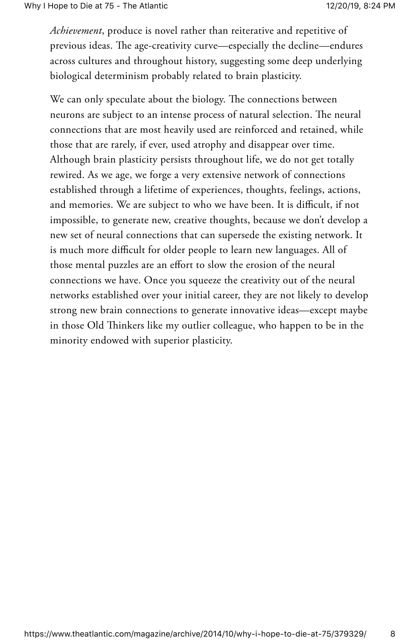*Achievement*, produce is novel rather than reiterative and repetitive of previous ideas. The age-creativity curve—especially the decline—endures across cultures and throughout history, suggesting some deep underlying biological determinism probably related to brain plasticity.

We can only speculate about the biology. The connections between neurons are subject to an intense process of natural selection. The neural connections that are most heavily used are reinforced and retained, while those that are rarely, if ever, used atrophy and disappear over time. Although brain plasticity persists throughout life, we do not get totally rewired. As we age, we forge a very extensive network of connections established through a lifetime of experiences, thoughts, feelings, actions, and memories. We are subject to who we have been. It is difficult, if not impossible, to generate new, creative thoughts, because we don't develop a new set of neural connections that can supersede the existing network. It is much more difficult for older people to learn new languages. All of those mental puzzles are an effort to slow the erosion of the neural connections we have. Once you squeeze the creativity out of the neural networks established over your initial career, they are not likely to develop strong new brain connections to generate innovative ideas—except maybe in those Old Thinkers like my outlier colleague, who happen to be in the minority endowed with superior plasticity.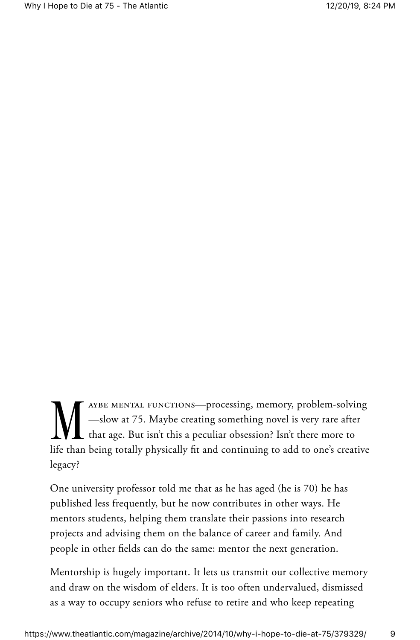M aybe mental functions—processing, memory, problem-solving —slow at 75. Maybe creating something novel is very rare after that age. But isn't this a peculiar obsession? Isn't there more to life than being totally physically fit and continuing to add to one's creative legacy?

One university professor told me that as he has aged (he is 70) he has published less frequently, but he now contributes in other ways. He mentors students, helping them translate their passions into research projects and advising them on the balance of career and family. And people in other fields can do the same: mentor the next generation.

Mentorship is hugely important. It lets us transmit our collective memory and draw on the wisdom of elders. It is too often undervalued, dismissed as a way to occupy seniors who refuse to retire and who keep repeating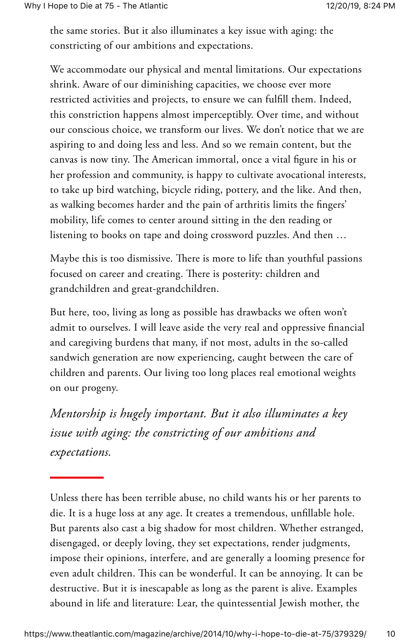the same stories. But it also illuminates a key issue with aging: the constricting of our ambitions and expectations.

We accommodate our physical and mental limitations. Our expectations shrink. Aware of our diminishing capacities, we choose ever more restricted activities and projects, to ensure we can fulfill them. Indeed, this constriction happens almost imperceptibly. Over time, and without our conscious choice, we transform our lives. We don't notice that we are aspiring to and doing less and less. And so we remain content, but the canvas is now tiny. The American immortal, once a vital figure in his or her profession and community, is happy to cultivate avocational interests, to take up bird watching, bicycle riding, pottery, and the like. And then, as walking becomes harder and the pain of arthritis limits the fingers' mobility, life comes to center around sitting in the den reading or listening to books on tape and doing crossword puzzles. And then …

Maybe this is too dismissive. There is more to life than youthful passions focused on career and creating. There is posterity: children and grandchildren and great-grandchildren.

But here, too, living as long as possible has drawbacks we often won't admit to ourselves. I will leave aside the very real and oppressive financial and caregiving burdens that many, if not most, adults in the so-called sandwich generation are now experiencing, caught between the care of children and parents. Our living too long places real emotional weights on our progeny.

*Mentorship is hugely important. But it also illuminates a key issue with aging: the constricting of our ambitions and expectations.*

Unless there has been terrible abuse, no child wants his or her parents to die. It is a huge loss at any age. It creates a tremendous, unfillable hole. But parents also cast a big shadow for most children. Whether estranged, disengaged, or deeply loving, they set expectations, render judgments, impose their opinions, interfere, and are generally a looming presence for even adult children. This can be wonderful. It can be annoying. It can be destructive. But it is inescapable as long as the parent is alive. Examples abound in life and literature: Lear, the quintessential Jewish mother, the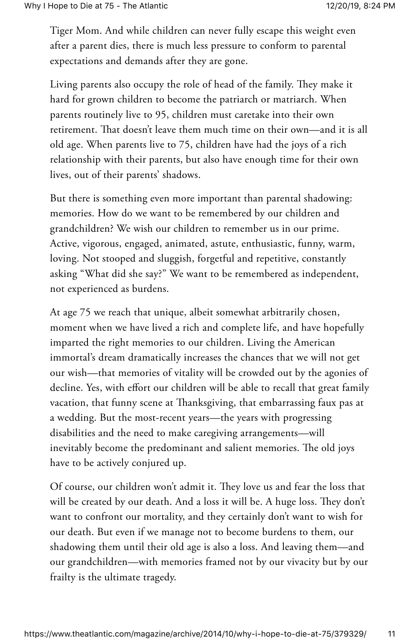Tiger Mom. And while children can never fully escape this weight even after a parent dies, there is much less pressure to conform to parental expectations and demands after they are gone.

Living parents also occupy the role of head of the family. They make it hard for grown children to become the patriarch or matriarch. When parents routinely live to 95, children must caretake into their own retirement. That doesn't leave them much time on their own—and it is all old age. When parents live to 75, children have had the joys of a rich relationship with their parents, but also have enough time for their own lives, out of their parents' shadows.

But there is something even more important than parental shadowing: memories. How do we want to be remembered by our children and grandchildren? We wish our children to remember us in our prime. Active, vigorous, engaged, animated, astute, enthusiastic, funny, warm, loving. Not stooped and sluggish, forgetful and repetitive, constantly asking "What did she say?" We want to be remembered as independent, not experienced as burdens.

At age 75 we reach that unique, albeit somewhat arbitrarily chosen, moment when we have lived a rich and complete life, and have hopefully imparted the right memories to our children. Living the American immortal's dream dramatically increases the chances that we will not get our wish—that memories of vitality will be crowded out by the agonies of decline. Yes, with effort our children will be able to recall that great family vacation, that funny scene at Thanksgiving, that embarrassing faux pas at a wedding. But the most-recent years—the years with progressing disabilities and the need to make caregiving arrangements—will inevitably become the predominant and salient memories. The old joys have to be actively conjured up.

Of course, our children won't admit it. They love us and fear the loss that will be created by our death. And a loss it will be. A huge loss. They don't want to confront our mortality, and they certainly don't want to wish for our death. But even if we manage not to become burdens to them, our shadowing them until their old age is also a loss. And leaving them—and our grandchildren—with memories framed not by our vivacity but by our frailty is the ultimate tragedy.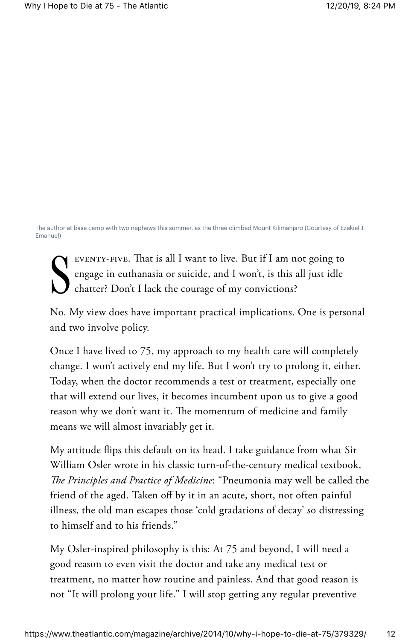The author at base camp with two nephews this summer, as the three climbed Mount Kilimanjaro (Courtesy of Ezekiel J. Emanuel)

S EVENTY-FIVE. That is all I want to live. But if I am not going to engage in euthanasia or suicide, and I won't, is this all just idle chatter? Don't I lack the courage of my convictions?

No. My view does have important practical implications. One is personal and two involve policy.

Once I have lived to 75, my approach to my health care will completely change. I won't actively end my life. But I won't try to prolong it, either. Today, when the doctor recommends a test or treatment, especially one that will extend our lives, it becomes incumbent upon us to give a good reason why we don't want it. The momentum of medicine and family means we will almost invariably get it.

My attitude flips this default on its head. I take guidance from what Sir William Osler wrote in his classic turn-of-the-century medical textbook, *The Principles and Practice of Medicine*: "Pneumonia may well be called the friend of the aged. Taken off by it in an acute, short, not often painful illness, the old man escapes those 'cold gradations of decay' so distressing to himself and to his friends."

My Osler-inspired philosophy is this: At 75 and beyond, I will need a good reason to even visit the doctor and take any medical test or treatment, no matter how routine and painless. And that good reason is not "It will prolong your life." I will stop getting any regular preventive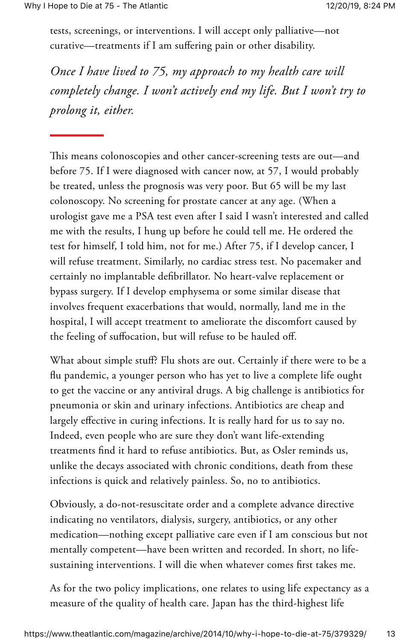tests, screenings, or interventions. I will accept only palliative—not curative—treatments if I am suffering pain or other disability.

*Once I have lived to 75, my approach to my health care will completely change. I won't actively end my life. But I won't try to prolong it, either.*

This means colonoscopies and other cancer-screening tests are out—and before 75. If I were diagnosed with cancer now, at 57, I would probably be treated, unless the prognosis was very poor. But 65 will be my last colonoscopy. No screening for prostate cancer at any age. (When a urologist gave me a PSA test even after I said I wasn't interested and called me with the results, I hung up before he could tell me. He ordered the test for himself, I told him, not for me.) After 75, if I develop cancer, I will refuse treatment. Similarly, no cardiac stress test. No pacemaker and certainly no implantable defibrillator. No heart-valve replacement or bypass surgery. If I develop emphysema or some similar disease that involves frequent exacerbations that would, normally, land me in the hospital, I will accept treatment to ameliorate the discomfort caused by the feeling of suffocation, but will refuse to be hauled off.

What about simple stuff? Flu shots are out. Certainly if there were to be a flu pandemic, a younger person who has yet to live a complete life ought to get the vaccine or any antiviral drugs. A big challenge is antibiotics for pneumonia or skin and urinary infections. Antibiotics are cheap and largely effective in curing infections. It is really hard for us to say no. Indeed, even people who are sure they don't want life-extending treatments find it hard to refuse antibiotics. But, as Osler reminds us, unlike the decays associated with chronic conditions, death from these infections is quick and relatively painless. So, no to antibiotics.

Obviously, a do-not-resuscitate order and a complete advance directive indicating no ventilators, dialysis, surgery, antibiotics, or any other medication—nothing except palliative care even if I am conscious but not mentally competent—have been written and recorded. In short, no lifesustaining interventions. I will die when whatever comes first takes me.

As for the two policy implications, one relates to using life expectancy as a measure of the quality of health care. Japan has the third-highest life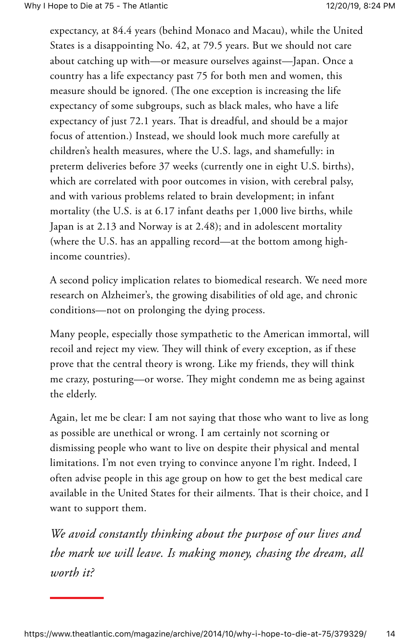expectancy, at 84.4 years (behind Monaco and Macau), while the United States is a disappointing No. 42, at 79.5 years. But we should not care about catching up with—or measure ourselves against—Japan. Once a country has a life expectancy past 75 for both men and women, this measure should be ignored. (The one exception is increasing the life expectancy of some subgroups, such as black males, who have a life expectancy of just 72.1 years. That is dreadful, and should be a major focus of attention.) Instead, we should look much more carefully at children's health measures, where the U.S. lags, and shamefully: in preterm deliveries before 37 weeks (currently one in eight U.S. births), which are correlated with poor outcomes in vision, with cerebral palsy, and with various problems related to brain development; in infant mortality (the U.S. is at 6.17 infant deaths per 1,000 live births, while Japan is at 2.13 and Norway is at 2.48); and in adolescent mortality (where the U.S. has an appalling record—at the bottom among highincome countries).

A second policy implication relates to biomedical research. We need more research on Alzheimer's, the growing disabilities of old age, and chronic conditions—not on prolonging the dying process.

Many people, especially those sympathetic to the American immortal, will recoil and reject my view. They will think of every exception, as if these prove that the central theory is wrong. Like my friends, they will think me crazy, posturing—or worse. They might condemn me as being against the elderly.

Again, let me be clear: I am not saying that those who want to live as long as possible are unethical or wrong. I am certainly not scorning or dismissing people who want to live on despite their physical and mental limitations. I'm not even trying to convince anyone I'm right. Indeed, I often advise people in this age group on how to get the best medical care available in the United States for their ailments. That is their choice, and I want to support them.

*We avoid constantly thinking about the purpose of our lives and the mark we will leave. Is making money, chasing the dream, all worth it?*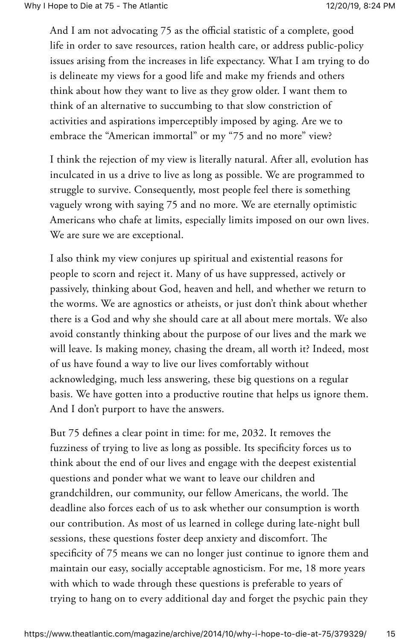And I am not advocating 75 as the official statistic of a complete, good life in order to save resources, ration health care, or address public-policy issues arising from the increases in life expectancy. What I am trying to do is delineate my views for a good life and make my friends and others think about how they want to live as they grow older. I want them to think of an alternative to succumbing to that slow constriction of activities and aspirations imperceptibly imposed by aging. Are we to embrace the "American immortal" or my "75 and no more" view?

I think the rejection of my view is literally natural. After all, evolution has inculcated in us a drive to live as long as possible. We are programmed to struggle to survive. Consequently, most people feel there is something vaguely wrong with saying 75 and no more. We are eternally optimistic Americans who chafe at limits, especially limits imposed on our own lives. We are sure we are exceptional.

I also think my view conjures up spiritual and existential reasons for people to scorn and reject it. Many of us have suppressed, actively or passively, thinking about God, heaven and hell, and whether we return to the worms. We are agnostics or atheists, or just don't think about whether there is a God and why she should care at all about mere mortals. We also avoid constantly thinking about the purpose of our lives and the mark we will leave. Is making money, chasing the dream, all worth it? Indeed, most of us have found a way to live our lives comfortably without acknowledging, much less answering, these big questions on a regular basis. We have gotten into a productive routine that helps us ignore them. And I don't purport to have the answers.

But 75 defines a clear point in time: for me, 2032. It removes the fuzziness of trying to live as long as possible. Its specificity forces us to think about the end of our lives and engage with the deepest existential questions and ponder what we want to leave our children and grandchildren, our community, our fellow Americans, the world. The deadline also forces each of us to ask whether our consumption is worth our contribution. As most of us learned in college during late-night bull sessions, these questions foster deep anxiety and discomfort. The specificity of 75 means we can no longer just continue to ignore them and maintain our easy, socially acceptable agnosticism. For me, 18 more years with which to wade through these questions is preferable to years of trying to hang on to every additional day and forget the psychic pain they